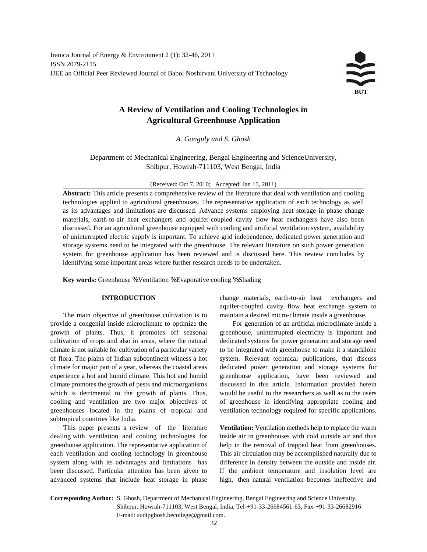# **A Review of Ventilation and Cooling Technologies in Agricultural Greenhouse Application**

*A. Ganguly and S. Ghosh*

Department of Mechanical Engineering, Bengal Engineering and ScienceUniversity, Shibpur, Howrah-711103, West Bengal, India

## (Received: Oct 7, 2010; Accepted: Jan 15, 2011)

**Abstract:** This article presents a comprehensive review of the literature that deal with ventilation and cooling technologies applied to agricultural greenhouses. The representative application of each technology as well as its advantages and limitations are discussed. Advance systems employing heat storage in phase change materials, earth-to-air heat exchangers and aquifer-coupled cavity flow heat exchangers have also been discussed. For an agricultural greenhouse equipped with cooling and artificial ventilation system, availability of uninterrupted electric supply is important. To achieve grid independence, dedicated power generation and storage systems need to be integrated with the greenhouse. The relevant literature on such power generation system for greenhouse application has been reviewed and is discussed here. This review concludes by identifying some important areas where further research needs to be undertaken.

**Key words:** Greenhouse % Ventilation % Evaporative cooling % Shading

The main objective of greenhouse cultivation is to maintain a desired micro-climate inside a greenhouse. provide a congenial inside microclimate to optimize the For generation of an artificial microclimate inside a growth of plants. Thus, it promotes off seasonal greenhouse, uninterrupted electricity is important and cultivation of crops and also in areas, where the natural dedicated systems for power generation and storage need climate is not suitable for cultivation of a particular variety to be integrated with greenhouse to make it a standalone of flora. The plains of Indian subcontinent witness a hot system. Relevant technical publications, that discuss climate for major part of a year, whereas the coastal areas dedicated power generation and storage systems for experience a hot and humid climate. This hot and humid greenhouse application, have been reviewed and climate promotes the growth of pests and microorganisms discussed in this article. Information provided herein which is detrimental to the growth of plants. Thus, would be useful to the researchers as well as to the users cooling and ventilation are two major objectives of of greenhouse in identifying appropriate cooling and greenhouses located in the plains of tropical and ventilation technology required for specific applications. subtropical countries like India.

dealing with ventilation and cooling technologies for inside air in greenhouses with cold outside air and thus greenhouse application. The representative application of help in the removal of trapped heat from greenhouses. each ventilation and cooling technology in greenhouse This air circulation may be accomplished naturally due to system along with its advantages and limitations has difference in density between the outside and inside air. been discussed. Particular attention has been given to If the ambient temperature and insolation level are advanced systems that include heat storage in phase high, then natural ventilation becomes ineffective and

**INTRODUCTION** change materials, earth-to-air heat exchangers and aquifer-coupled cavity flow heat exchange system to

This paper presents a review of the literature **Ventilation:** Ventilation methods help to replace the warm

**Corresponding Author:** S. Ghosh, Department of Mechanical Engineering, Bengal Engineering and Science University, Shibpur, Howrah-711103, West Bengal, India, Tel-+91-33-26684561-63, Fax-+91-33-26682916 E-mail: sudipghosh.becollege@gmail.com.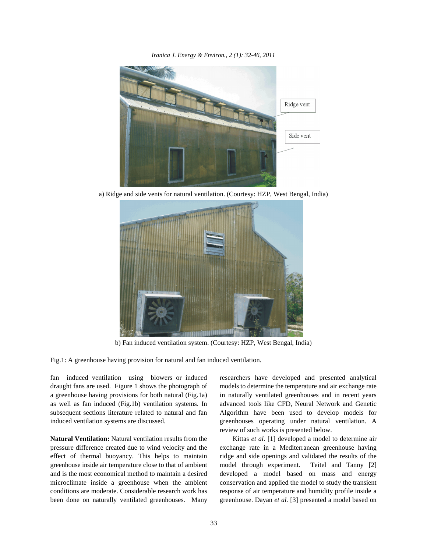*Iranica J. Energy & Environ., 2 (1): 32-46, 2011*



a) Ridge and side vents for natural ventilation. (Courtesy: HZP, West Bengal, India)



b) Fan induced ventilation system. (Courtesy: HZP, West Bengal, India)

Fig.1: A greenhouse having provision for natural and fan induced ventilation.

draught fans are used. Figure 1 shows the photograph of models to determine the temperature and air exchange rate a greenhouse having provisions for both natural (Fig.1a) in naturally ventilated greenhouses and in recent years as well as fan induced (Fig.1b) ventilation systems. In advanced tools like CFD, Neural Network and Genetic subsequent sections literature related to natural and fan Algorithm have been used to develop models for induced ventilation systems are discussed. greenhouses operating under natural ventilation. A

**Natural Ventilation:** Natural ventilation results from the Kittas *et al.* [1] developed a model to determine air pressure difference created due to wind velocity and the exchange rate in a Mediterranean greenhouse having effect of thermal buoyancy. This helps to maintain ridge and side openings and validated the results of the greenhouse inside air temperature close to that of ambient model through experiment. Teitel and Tanny [2] and is the most economical method to maintain a desired developed a model based on mass and energy microclimate inside a greenhouse when the ambient conservation and applied the model to study the transient conditions are moderate. Considerable research work has response of air temperature and humidity profile inside a been done on naturally ventilated greenhouses. Many greenhouse. Dayan *et al.* [3] presented a model based on

fan induced ventilation using blowers or induced researchers have developed and presented analytical review of such works is presented below.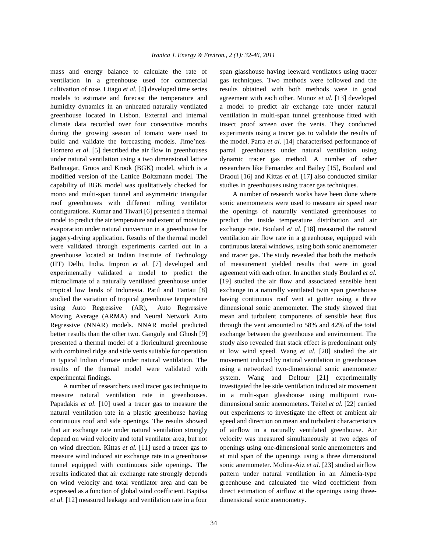ventilation in a greenhouse used for commercial gas techniques. Two methods were followed and the cultivation of rose. Litago *et al.* [4] developed time series results obtained with both methods were in good models to estimate and forecast the temperature and agreement with each other. Munoz *et al.* [13] developed humidity dynamics in an unheated naturally ventilated a model to predict air exchange rate under natural greenhouse located in Lisbon. External and internal ventilation in multi-span tunnel greenhouse fitted with climate data recorded over four consecutive months insect proof screen over the vents. They conducted during the growing season of tomato were used to experiments using a tracer gas to validate the results of build and validate the forecasting models. Jime'nez- the model. Parra *et al.* [14] characterised performance of Hornero *et al.* [5] described the air flow in greenhouses parral greenhouses under natural ventilation using under natural ventilation using a two dimensional lattice dynamic tracer gas method. A number of other Bathnagar, Groos and Krook (BGK) model, which is a researchers like Fernandez and Bailey [15], Boulard and modified version of the Lattice Boltzmann model. The Draoui [16] and Kittas *et al.* [17] also conducted similar capability of BGK model was qualitatively checked for studies in greenhouses using tracer gas techniques. mono and multi-span tunnel and asymmetric triangular A number of research works have been done where roof greenhouses with different rolling ventilator sonic anemometers were used to measure air speed near configurations. Kumar and Tiwari [6] presented a thermal the openings of naturally ventilated greenhouses to model to predict the air temperature and extent of moisture predict the inside temperature distribution and air evaporation under natural convection in a greenhouse for exchange rate. Boulard *et al.* [18] measured the natural jaggery-drying application. Results of the thermal model ventilation air flow rate in a greenhouse, equipped with were validated through experiments carried out in a continuous lateral windows, using both sonic anemometer greenhouse located at Indian Institute of Technology and tracer gas. The study revealed that both the methods (IIT) Delhi, India. Impron *et al.* [7] developed and of measurement yielded results that were in good experimentally validated a model to predict the agreement with each other. In another study Boulard *et al.* microclimate of a naturally ventilated greenhouse under [19] studied the air flow and associated sensible heat tropical low lands of Indonesia. Patil and Tantau [8] exchange in a naturally ventilated twin span greenhouse studied the variation of tropical greenhouse temperature having continuous roof vent at gutter using a three using Auto Regressive (AR), Auto Regressive dimensional sonic anemometer. The study showed that Moving Average (ARMA) and Neural Network Auto mean and turbulent components of sensible heat flux Regressive (NNAR) models. NNAR model predicted through the vent amounted to 58% and 42% of the total better results than the other two. Ganguly and Ghosh [9] exchange between the greenhouse and environment. The presented a thermal model of a floricultural greenhouse study also revealed that stack effect is predominant only with combined ridge and side vents suitable for operation at low wind speed. Wang *et al.* [20] studied the air in typical Indian climate under natural ventilation. The movement induced by natural ventilation in greenhouses results of the thermal model were validated with using a networked two-dimensional sonic anemometer experimental findings. System. Wang and Deltour [21] experimentally

measure natural ventilation rate in greenhouses. in a multi-span glasshouse using multipoint two-Papadakis *et al.* [10] used a tracer gas to measure the dimensional sonic anemometers. Teitel *et al.* [22] carried natural ventilation rate in a plastic greenhouse having out experiments to investigate the effect of ambient air continuous roof and side openings. The results showed speed and direction on mean and turbulent characteristics that air exchange rate under natural ventilation strongly of airflow in a naturally ventilated greenhouse. Air depend on wind velocity and total ventilator area, but not velocity was measured simultaneously at two edges of on wind direction. Kittas et al. [11] used a tracer gas to openings using one-dimensional sonic anemometers and measure wind induced air exchange rate in a greenhouse at mid span of the openings using a three dimensional tunnel equipped with continuous side openings. The sonic anemometer. Molina-Aiz *et al.* [23] studied airflow results indicated that air exchange rate strongly depends pattern under natural ventilation in an Almería-type on wind velocity and total ventilator area and can be greenhouse and calculated the wind coefficient from expressed as a function of global wind coefficient. Bapitsa direct estimation of airflow at the openings using three*et al.* [12] measured leakage and ventilation rate in a four dimensional sonic anemometry.

mass and energy balance to calculate the rate of span glasshouse having leeward ventilators using tracer

A number of researchers used tracer gas technique to investigated the lee side ventilation induced air movement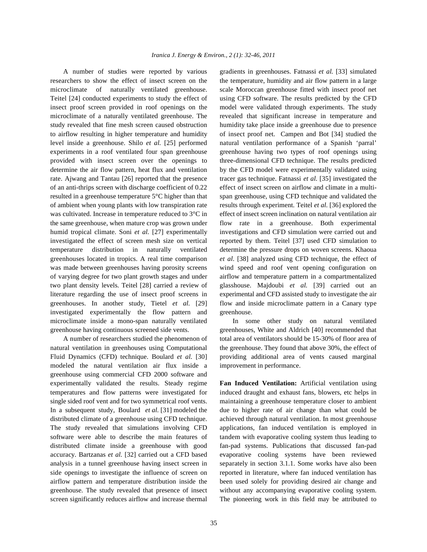researchers to show the effect of insect screen on the the temperature, humidity and air flow pattern in a large microclimate of naturally ventilated greenhouse. scale Moroccan greenhouse fitted with insect proof net Teitel [24] conducted experiments to study the effect of using CFD software. The results predicted by the CFD insect proof screen provided in roof openings on the model were validated through experiments. The study microclimate of a naturally ventilated greenhouse. The revealed that significant increase in temperature and study revealed that fine mesh screen caused obstruction humidity take place inside a greenhouse due to presence to airflow resulting in higher temperature and humidity of insect proof net. Campen and Bot [34] studied the level inside a greenhouse. Shilo *et al.* [25] performed natural ventilation performance of a Spanish 'parral' experiments in a roof ventilated four span greenhouse greenhouse having two types of roof openings using provided with insect screen over the openings to three-dimensional CFD technique. The results predicted determine the air flow pattern, heat flux and ventilation by the CFD model were experimentally validated using rate. Ajwang and Tantau [26] reported that the presence tracer gas technique. Fatnassi *et al.* [35] investigated the of an anti-thrips screen with discharge coefficient of 0.22 effect of insect screen on airflow and climate in a multiresulted in a greenhouse temperature 5°C higher than that span greenhouse, using CFD technique and validated the of ambient when young plants with low transpiration rate results through experiment. Teitel *et al.* [36] explored the was cultivated. Increase in temperature reduced to 3°C in effect of insect screen inclination on natural ventilation air the same greenhouse, when mature crop was grown under flow rate in a greenhouse. Both experimental humid tropical climate. Soni *et al.* [27] experimentally investigations and CFD simulation were carried out and investigated the effect of screen mesh size on vertical reported by them. Teitel [37] used CFD simulation to temperature distribution in naturally ventilated determine the pressure drops on woven screens. Khaoua greenhouses located in tropics. A real time comparison *et al.* [38] analyzed using CFD technique, the effect of was made between greenhouses having porosity screens wind speed and roof vent opening configuration on of varying degree for two plant growth stages and under airflow and temperature pattern in a compartmentalized two plant density levels. Teitel [28] carried a review of glasshouse. Majdoubi *et al.* [39] carried out an literature regarding the use of insect proof screens in experimental and CFD assisted study to investigate the air greenhouses. In another study, Tietel *et al.* [29] flow and inside microclimate pattern in a Canary type investigated experimentally the flow pattern and greenhouse. microclimate inside a mono-span naturally ventilated In some other study on natural ventilated greenhouse having continuous screened side vents. greenhouses, White and Aldrich [40] recommended that

natural ventilation in greenhouses using Computational the greenhouse. They found that above 30%, the effect of Fluid Dynamics (CFD) technique. Boulard *et al.* [30] providing additional area of vents caused marginal modeled the natural ventilation air flux inside a improvement in performance. greenhouse using commercial CFD 2000 software and experimentally validated the results. Steady regime **Fan Induced Ventilation:** Artificial ventilation using temperatures and flow patterns were investigated for induced draught and exhaust fans, blowers, etc helps in single sided roof vent and for two symmetrical roof vents. maintaining a greenhouse temperature closer to ambient In a subsequent study, Boulard *et al.* [31] modeled the due to higher rate of air change than what could be distributed climate of a greenhouse using CFD technique. achieved through natural ventilation. In most greenhouse The study revealed that simulations involving CFD applications, fan induced ventilation is employed in software were able to describe the main features of tandem with evaporative cooling system thus leading to distributed climate inside a greenhouse with good fan-pad systems. Publications that discussed fan-pad accuracy. Bartzanas *et al.* [32] carried out a CFD based evaporative cooling systems have been reviewed analysis in a tunnel greenhouse having insect screen in separately in section 3.1.1. Some works have also been side openings to investigate the influence of screen on reported in literature, where fan induced ventilation has airflow pattern and temperature distribution inside the been used solely for providing desired air change and greenhouse. The study revealed that presence of insect without any accompanying evaporative cooling system. screen significantly reduces airflow and increase thermal The pioneering work in this field may be attributed to

A number of studies were reported by various gradients in greenhouses. Fatnassi *et al.* [33] simulated

A number of researchers studied the phenomenon of total area of ventilators should be 15-30% of floor area of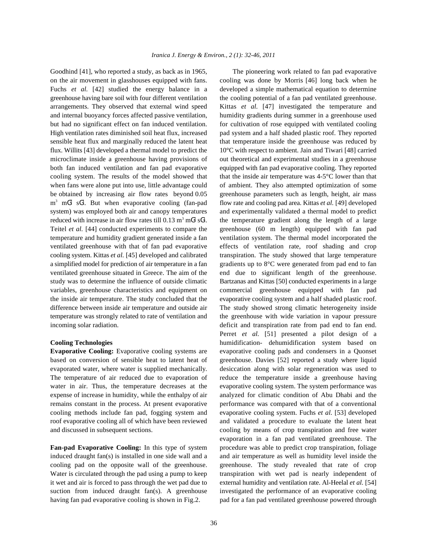Goodhind [41], who reported a study, as back as in 1965, The pioneering work related to fan pad evaporative on the air movement in glasshouses equipped with fans. cooling was done by Morris [46] long back when he Fuchs *et al.* [42] studied the energy balance in a developed a simple mathematical equation to determine greenhouse having bare soil with four different ventilation the cooling potential of a fan pad ventilated greenhouse. microclimate inside a greenhouse having provisions of out theoretical and experimental studies in a greenhouse be obtained by increasing air flow rates beyond 0.05 greenhouse parameters such as length, height, air mass reduced with increase in air flow rates till  $0.13 \text{ m}^3 \text{ mG}^2 \text{ sG}^1$ . Teitel *et al.* [44] conducted experiments to compare the greenhouse (60 m length) equipped with fan pad temperature and humidity gradient generated inside a fan ventilation system. The thermal model incorporated the ventilated greenhouse situated in Greece. The aim of the end due to significant length of the greenhouse. study was to determine the influence of outside climatic Bartzanas and Kittas [50] conducted experiments in a large the inside air temperature. The study concluded that the evaporative cooling system and a half shaded plastic roof.

arrangements. They observed that external wind speed Kittas *et al.* [47] investigated the temperature and and internal buoyancy forces affected passive ventilation, humidity gradients during summer in a greenhouse used but had no significant effect on fan induced ventilation. for cultivation of rose equipped with ventilated cooling High ventilation rates diminished soil heat flux, increased pad system and a half shaded plastic roof. They reported sensible heat flux and marginally reduced the latent heat that temperature inside the greenhouse was reduced by flux. Willits [43] developed a thermal model to predict the 10°C with respect to ambient. Jain and Tiwari [48] carried both fan induced ventilation and fan pad evaporative equipped with fan pad evaporative cooling. They reported cooling system. The results of the model showed that that the inside air temperature was 4-5°C lower than that when fans were alone put into use, little advantage could of ambient. They also attempted optimization of some m<sup>3</sup> mG<sup>2</sup> sG<sup>1</sup>. But when evaporative cooling (fan-pad flow rate and cooling pad area. Kittas *et al.* [49] developed system) was employed both air and canopy temperatures and experimentally validated a thermal model to predict the temperature gradient along the length of a large ventilated greenhouse with that of fan pad evaporative effects of ventilation rate, roof shading and crop cooling system. Kittas *et al.* [45] developed and calibrated transpiration. The study showed that large temperature a simplified model for prediction of air temperature in a fan gradients up to 8°C were generated from pad end to fan variables, greenhouse characteristics and equipment on commercial greenhouse equipped with fan pad difference between inside air temperature and outside air The study showed strong climatic heterogeneity inside temperature was strongly related to rate of ventilation and the greenhouse with wide variation in vapour pressure incoming solar radiation. deficit and transpiration rate from pad end to fan end. **Cooling Technologies humidification-** dehumidification system based on **Evaporative Cooling:** Evaporative cooling systems are evaporative cooling pads and condensers in a Quonset based on conversion of sensible heat to latent heat of greenhouse. Davies [52] reported a study where liquid evaporated water, where water is supplied mechanically. desiccation along with solar regeneration was used to The temperature of air reduced due to evaporation of reduce the temperature inside a greenhouse having water in air. Thus, the temperature decreases at the evaporative cooling system. The system performance was expense of increase in humidity, while the enthalpy of air analyzed for climatic condition of Abu Dhabi and the remains constant in the process. At present evaporative performance was compared with that of a conventional cooling methods include fan pad, fogging system and evaporative cooling system. Fuchs *et al.* [53] developed roof evaporative cooling all of which have been reviewed and validated a procedure to evaluate the latent heat and discussed in subsequent sections. cooling by means of crop transpiration and free water **Fan-pad Evaporative Cooling:** In this type of system procedure was able to predict crop transpiration, foliage induced draught fan(s) is installed in one side wall and a  $a$  and air temperature as well as humidity level inside the cooling pad on the opposite wall of the greenhouse. greenhouse. The study revealed that rate of crop Water is circulated through the pad using a pump to keep transpiration with wet pad is nearly independent of it wet and air is forced to pass through the wet pad due to external humidity and ventilation rate. Al-Heelal *et al.* [54] suction from induced draught fan(s). A greenhouse investigated the performance of an evaporative cooling having fan pad evaporative cooling is shown in Fig.2. pad for a fan pad ventilated greenhouse powered through Perret *et al.* [51] presented a pilot design of a evaporation in a fan pad ventilated greenhouse. The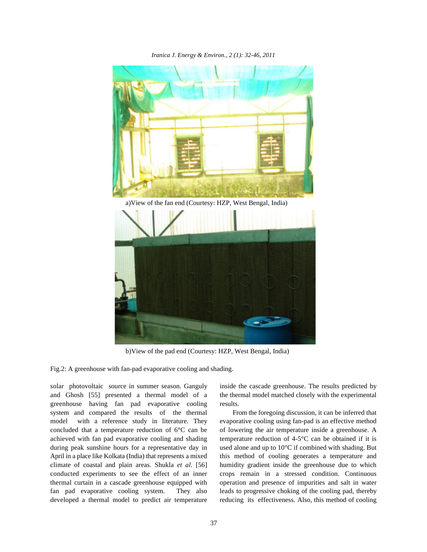*Iranica J. Energy & Environ., 2 (1): 32-46, 2011*



a)View of the fan end (Courtesy: HZP, West Bengal, India)



b)View of the pad end (Courtesy: HZP, West Bengal, India)

Fig.2: A greenhouse with fan-pad evaporative cooling and shading.

solar photovoltaic source in summer season. Ganguly inside the cascade greenhouse. The results predicted by and Ghosh [55] presented a thermal model of a the thermal model matched closely with the experimental greenhouse having fan pad evaporative cooling results. system and compared the results of the thermal From the foregoing discussion, it can be inferred that model with a reference study in literature. They evaporative cooling using fan-pad is an effective method concluded that a temperature reduction of 6°C can be of lowering the air temperature inside a greenhouse. A achieved with fan pad evaporative cooling and shading temperature reduction of 4-5°C can be obtained if it is during peak sunshine hours for a representative day in used alone and up to 10°C if combined with shading. But April in a place like Kolkata (India) that represents a mixed this method of cooling generates a temperature and climate of coastal and plain areas. Shukla *et al.* [56] humidity gradient inside the greenhouse due to which conducted experiments to see the effect of an inner crops remain in a stressed condition. Continuous thermal curtain in a cascade greenhouse equipped with operation and presence of impurities and salt in water fan pad evaporative cooling system. They also leads to progressive choking of the cooling pad, thereby developed a thermal model to predict air temperature reducing its effectiveness. Also, this method of cooling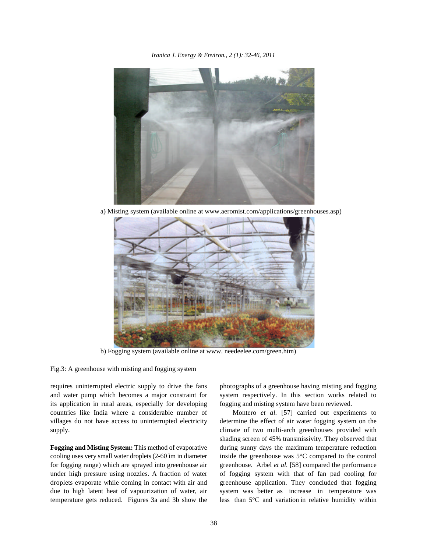*Iranica J. Energy & Environ., 2 (1): 32-46, 2011*



a) Misting system (available online at www.aeromist.com/applications/greenhouses.asp)



b) Fogging system (available online at www. needeelee.com/green.htm)

Fig.3: A greenhouse with misting and fogging system

requires uninterrupted electric supply to drive the fans photographs of a greenhouse having misting and fogging and water pump which becomes a major constraint for system respectively. In this section works related to its application in rural areas, especially for developing fogging and misting system have been reviewed. countries like India where a considerable number of Montero *et al.* [57] carried out experiments to villages do not have access to uninterrupted electricity determine the effect of air water fogging system on the supply. The supply supply in the climate of two multi-arch greenhouses provided with

cooling uses very small water droplets (2-60 im in diameter inside the greenhouse was 5°C compared to the control for fogging range) which are sprayed into greenhouse air greenhouse. Arbel *et al.* [58] compared the performance under high pressure using nozzles. A fraction of water of fogging system with that of fan pad cooling for droplets evaporate while coming in contact with air and greenhouse application. They concluded that fogging due to high latent heat of vapourization of water, air system was better as increase in temperature was temperature gets reduced. Figures 3a and 3b show the less than 5°C and variation in relative humidity within

**Fogging and Misting System:** This method of evaporative during sunny days the maximum temperature reduction shading screen of 45% transmissivity. They observed that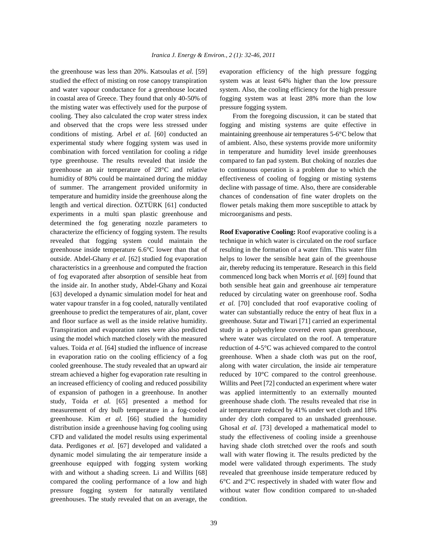studied the effect of misting on rose canopy transpiration system was at least 64% higher than the low pressure and water vapour conductance for a greenhouse located system. Also, the cooling efficiency for the high pressure in coastal area of Greece. They found that only 40-50% of fogging system was at least 28% more than the low the misting water was effectively used for the purpose of pressure fogging system. cooling. They also calculated the crop water stress index From the foregoing discussion, it can be stated that and observed that the crops were less stressed under fogging and misting systems are quite effective in conditions of misting. Arbel *et al.* [60] conducted an maintaining greenhouse air temperatures 5-6°C below that experimental study where fogging system was used in of ambient. Also, these systems provide more uniformity combination with forced ventilation for cooling a ridge in temperature and humidity level inside greenhouses type greenhouse. The results revealed that inside the compared to fan pad system. But choking of nozzles due greenhouse an air temperature of 28°C and relative to continuous operation is a problem due to which the humidity of 80% could be maintained during the midday effectiveness of cooling of fogging or misting systems of summer. The arrangement provided uniformity in decline with passage of time. Also, there are considerable temperature and humidity inside the greenhouse along the chances of condensation of fine water droplets on the length and vertical direction. ÖZTÜRK [61] conducted flower petals making them more susceptible to attack by experiments in a multi span plastic greenhouse and microorganisms and pests. determined the fog generating nozzle parameters to characterize the efficiency of fogging system. The results **Roof Evaporative Cooling:** Roof evaporative cooling is a revealed that fogging system could maintain the technique in which water is circulated on the roof surface greenhouse inside temperature  $6.6^{\circ}$ C lower than that of resulting in the formation of a water film. This water film outside. Abdel-Ghany *et al.* [62] studied fog evaporation helps to lower the sensible heat gain of the greenhouse characteristics in a greenhouse and computed the fraction air, thereby reducing its temperature. Research in this field of fog evaporated after absorption of sensible heat from commenced long back when Morris *et al.* [69] found that the inside air. In another study, Abdel-Ghany and Kozai both sensible heat gain and greenhouse air temperature [63] developed a dynamic simulation model for heat and reduced by circulating water on greenhouse roof. Sodha water vapour transfer in a fog cooled, naturally ventilated *et al.* [70] concluded that roof evaporative cooling of greenhouse to predict the temperatures of air, plant, cover water can substantially reduce the entry of heat flux in a and floor surface as well as the inside relative humidity. greenhouse. Sutar and Tiwari [71] carried an experimental Transpiration and evaporation rates were also predicted study in a polyethylene covered even span greenhouse, using the model which matched closely with the measured where water was circulated on the roof. A temperature values. Toida *et al.* [64] studied the influence of increase reduction of 4-5°C was achieved compared to the control in evaporation ratio on the cooling efficiency of a fog greenhouse. When a shade cloth was put on the roof, cooled greenhouse. The study revealed that an upward air along with water circulation, the inside air temperature stream achieved a higher fog evaporation rate resulting in reduced by 10°C compared to the control greenhouse. an increased efficiency of cooling and reduced possibility Willits and Peet [72] conducted an experiment where water of expansion of pathogen in a greenhouse. In another was applied intermittently to an externally mounted study, Toida *et al.* [65] presented a method for greenhouse shade cloth. The results revealed that rise in measurement of dry bulb temperature in a fog-cooled air temperature reduced by 41% under wet cloth and 18% greenhouse. Kim *et al.* [66] studied the humidity under dry cloth compared to an unshaded greenhouse. distribution inside a greenhouse having fog cooling using Ghosal *et al.* [73] developed a mathematical model to CFD and validated the model results using experimental study the effectiveness of cooling inside a greenhouse data. Perdigones *et al.* [67] developed and validated a having shade cloth stretched over the roofs and south dynamic model simulating the air temperature inside a wall with water flowing it. The results predicted by the greenhouse equipped with fogging system working model were validated through experiments. The study with and without a shading screen. Li and Willits [68] revealed that greenhouse inside temperature reduced by compared the cooling performance of a low and high  $6^{\circ}$ C and  $2^{\circ}$ C respectively in shaded with water flow and pressure fogging system for naturally ventilated without water flow condition compared to un-shaded greenhouses. The study revealed that on an average, the condition.

the greenhouse was less than 20%. Katsoulas *et al.* [59] evaporation efficiency of the high pressure fogging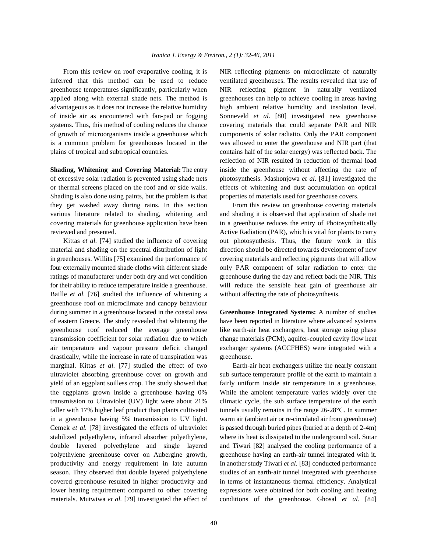inferred that this method can be used to reduce ventilated greenhouses. The results revealed that use of greenhouse temperatures significantly, particularly when NIR reflecting pigment in naturally ventilated applied along with external shade nets. The method is greenhouses can help to achieve cooling in areas having advantageous as it does not increase the relative humidity high ambient relative humidity and insolation level. of inside air as encountered with fan-pad or fogging Sonneveld *et al.* [80] investigated new greenhouse systems. Thus, this method of cooling reduces the chance covering materials that could separate PAR and NIR of growth of microorganisms inside a greenhouse which components of solar radiatio. Only the PAR component is a common problem for greenhouses located in the was allowed to enter the greenhouse and NIR part (that plains of tropical and subtropical countries. contains half of the solar energy) was reflected back. The

of excessive solar radiation is prevented using shade nets photosynthesis. Mashonjowa *et al.* [81] investigated the or thermal screens placed on the roof and or side walls. effects of whitening and dust accumulation on optical Shading is also done using paints, but the problem is that properties of materials used for greenhouse covers. they get washed away during rains. In this section From this review on greenhouse covering materials various literature related to shading, whitening and and shading it is observed that application of shade net covering materials for greenhouse application have been in a greenhouse reduces the entry of Photosynthetically reviewed and presented. Active Radiation (PAR), which is vital for plants to carry

material and shading on the spectral distribution of light direction should be directed towards development of new in greenhouses. Willits [75] examined the performance of covering materials and reflecting pigments that will allow four externally mounted shade cloths with different shade only PAR component of solar radiation to enter the ratings of manufacturer under both dry and wet condition greenhouse during the day and reflect back the NIR. This for their ability to reduce temperature inside a greenhouse. will reduce the sensible heat gain of greenhouse air Baille *et al.* [76] studied the influence of whitening a without affecting the rate of photosynthesis. greenhouse roof on microclimate and canopy behaviour during summer in a greenhouse located in the coastal area **Greenhouse Integrated Systems:** A number of studies of eastern Greece. The study revealed that whitening the have been reported in literature where advanced systems greenhouse roof reduced the average greenhouse like earth-air heat exchangers, heat storage using phase transmission coefficient for solar radiation due to which change materials (PCM), aquifer-coupled cavity flow heat air temperature and vapour pressure deficit changed exchanger systems (ACCFHES) were integrated with a drastically, while the increase in rate of transpiration was greenhouse. marginal. Kittas *et al.* [77] studied the effect of two Earth-air heat exchangers utilize the nearly constant ultraviolet absorbing greenhouse cover on growth and sub surface temperature profile of the earth to maintain a yield of an eggplant soilless crop. The study showed that fairly uniform inside air temperature in a greenhouse. the eggplants grown inside a greenhouse having 0% While the ambient temperature varies widely over the transmission to Ultraviolet (UV) light were about 21% climatic cycle, the sub surface temperature of the earth taller with 17% higher leaf product than plants cultivated tunnels usually remains in the range 26-28°C. In summer in a greenhouse having 5% transmission to UV light. warm air (ambient air or re-circulated air from greenhouse) Cemek *et al.* [78] investigated the effects of ultraviolet is passed through buried pipes (buried at a depth of 2-4m) stabilized polyethylene, infrared absorber polyethylene, where its heat is dissipated to the underground soil. Sutar double layered polyethylene and single layered and Tiwari [82] analysed the cooling performance of a polyethylene greenhouse cover on Aubergine growth, greenhouse having an earth-air tunnel integrated with it. productivity and energy requirement in late autumn In another study Tiwari *et al.* [83] conducted performance season. They observed that double layered polyethylene studies of an earth-air tunnel integrated with greenhouse covered greenhouse resulted in higher productivity and in terms of instantaneous thermal efficiency. Analytical lower heating requirement compared to other covering expressions were obtained for both cooling and heating materials. Mutwiwa *et al.* [79] investigated the effect of conditions of the greenhouse. Ghosal *et al.* [84]

From this review on roof evaporative cooling, it is NIR reflecting pigments on microclimate of naturally **Shading, Whitening and Covering Material:** The entry inside the greenhouse without affecting the rate of reflection of NIR resulted in reduction of thermal load

Kittas *et al.* [74] studied the influence of covering out photosynthesis. Thus, the future work in this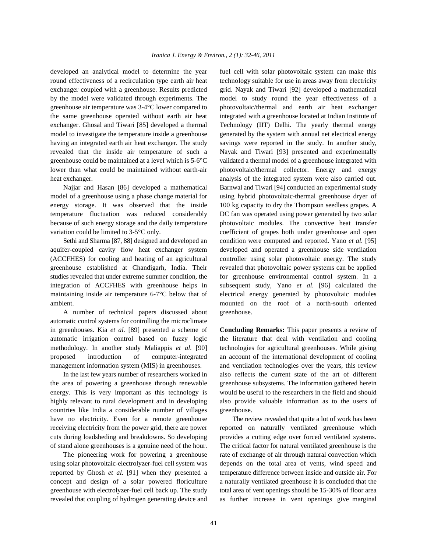round effectiveness of a recirculation type earth air heat technology suitable for use in areas away from electricity exchanger coupled with a greenhouse. Results predicted grid. Nayak and Tiwari [92] developed a mathematical by the model were validated through experiments. The model to study round the year effectiveness of a greenhouse air temperature was 3-4°C lower compared to photovoltaic/thermal and earth air heat exchanger the same greenhouse operated without earth air heat integrated with a greenhouse located at Indian Institute of exchanger. Ghosal and Tiwari [85] developed a thermal Technology (IIT) Delhi. The yearly thermal energy model to investigate the temperature inside a greenhouse generated by the system with annual net electrical energy having an integrated earth air heat exchanger. The study savings were reported in the study. In another study, revealed that the inside air temperature of such a Nayak and Tiwari [93] presented and experimentally greenhouse could be maintained at a level which is 5-6°C validated a thermal model of a greenhouse integrated with lower than what could be maintained without earth-air photovoltaic/thermal collector. Energy and exergy heat exchanger. analysis of the integrated system were also carried out.

model of a greenhouse using a phase change material for using hybrid photovoltaic-thermal greenhouse dryer of energy storage. It was observed that the inside 100 kg capacity to dry the Thompson seedless grapes. A temperature fluctuation was reduced considerably DC fan was operated using power generated by two solar because of such energy storage and the daily temperature photovoltaic modules. The convective heat transfer variation could be limited to 3-5<sup>o</sup>C only. coefficient of grapes both under greenhouse and open

aquifer-coupled cavity flow heat exchanger system developed and operated a greenhouse side ventilation (ACCFHES) for cooling and heating of an agricultural controller using solar photovoltaic energy. The study greenhouse established at Chandigarh, India. Their revealed that photovoltaic power systems can be applied studies revealed that under extreme summer condition, the for greenhouse environmental control system. In a integration of ACCFHES with greenhouse helps in subsequent study, Yano *et al.* [96] calculated the maintaining inside air temperature 6-7°C below that of electrical energy generated by photovoltaic modules ambient. mounted on the roof of a north-south oriented

A number of technical papers discussed about greenhouse. automatic control systems for controlling the microclimate in greenhouses. Kia *et al.* [89] presented a scheme of **Concluding Remarks:** This paper presents a review of automatic irrigation control based on fuzzy logic the literature that deal with ventilation and cooling methodology. In another study Maliappis *et al.* [90] technologies for agricultural greenhouses. While giving proposed introduction of computer-integrated an account of the international development of cooling management information system (MIS) in greenhouses. and ventilation technologies over the years, this review

the area of powering a greenhouse through renewable greenhouse subsystems. The information gathered herein energy. This is very important as this technology is would be useful to the researchers in the field and should highly relevant to rural development and in developing also provide valuable information as to the users of countries like India a considerable number of villages greenhouse. have no electricity. Even for a remote greenhouse The review revealed that quite a lot of work has been receiving electricity from the power grid, there are power reported on naturally ventilated greenhouse which cuts during loadsheding and breakdowns. So developing provides a cutting edge over forced ventilated systems. of stand alone greenhouses is a genuine need of the hour. The critical factor for natural ventilated greenhouse is the

using solar photovoltaic-electrolyzer-fuel cell system was depends on the total area of vents, wind speed and reported by Ghosh *et al.* [91] when they presented a temperature difference between inside and outside air. For concept and design of a solar powered floriculture a naturally ventilated greenhouse it is concluded that the greenhouse with electrolyzer-fuel cell back up. The study total area of vent openings should be 15-30% of floor area revealed that coupling of hydrogen generating device and as further increase in vent openings give marginal

developed an analytical model to determine the year fuel cell with solar photovoltaic system can make this Najjar and Hasan [86] developed a mathematical Barnwal and Tiwari [94] conducted an experimental study Sethi and Sharma [87, 88] designed and developed an condition were computed and reported. Yano *et al.* [95]

In the last few years number of researchers worked in also reflects the current state of the art of different

The pioneering work for powering a greenhouse rate of exchange of air through natural convection which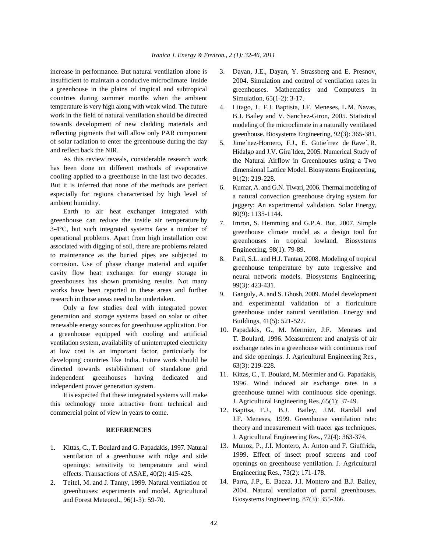insufficient to maintain a conducive microclimate inside a greenhouse in the plains of tropical and subtropical countries during summer months when the ambient temperature is very high along with weak wind. The future work in the field of natural ventilation should be directed towards development of new cladding materials and reflecting pigments that will allow only PAR component of solar radiation to enter the greenhouse during the day and reflect back the NIR.

As this review reveals, considerable research work has been done on different methods of evaporative cooling applied to a greenhouse in the last two decades. But it is inferred that none of the methods are perfect especially for regions characterised by high level of ambient humidity.

Earth to air heat exchanger integrated with greenhouse can reduce the inside air temperature by 3-4°C, but such integrated systems face a number of operational problems. Apart from high installation cost associated with digging of soil, there are problems related to maintenance as the buried pipes are subjected to corrosion. Use of phase change material and aquifer cavity flow heat exchanger for energy storage in greenhouses has shown promising results. Not many works have been reported in these areas and further research in those areas need to be undertaken.

Only a few studies deal with integrated power generation and storage systems based on solar or other renewable energy sources for greenhouse application. For a greenhouse equipped with cooling and artificial ventilation system, availability of uninterrupted electricity at low cost is an important factor, particularly for developing countries like India. Future work should be directed towards establishment of standalone grid independent greenhouses having dedicated and independent power generation system.

It is expected that these integrated systems will make this technology more attractive from technical and commercial point of view in years to come.

### **REFERENCES**

- 1. Kittas, C., T. Boulard and G. Papadakis, 1997. Natural ventilation of a greenhouse with ridge and side openings: sensitivity to temperature and wind effects. Transactions of ASAE, 40(2): 415-425.
- 2. Teitel, M. and J. Tanny, 1999. Natural ventilation of greenhouses: experiments and model. Agricultural and Forest Meteorol., 96(1-3): 59-70.
- increase in performance. But natural ventilation alone is 3. Dayan, J.E., Dayan, Y. Strassberg and E. Presnov, 2004. Simulation and control of ventilation rates in greenhouses. Mathematics and Computers in Simulation, 65(1-2): 3-17.
	- 4. Litago, J., F.J. Baptista, J.F. Meneses, L.M. Navas, B.J. Bailey and V. Sanchez-Giron, 2005. Statistical modeling of the microclimate in a naturally ventilated greenhouse. Biosystems Engineering, 92(3): 365-381.
	- 5. Jime´nez-Hornero, F.J., E. Gutie´rrez de Rave´, R. Hidalgo and J.V. Gira´ldez, 2005. Numerical Study of the Natural Airflow in Greenhouses using a Two dimensional Lattice Model. Biosystems Engineering, 91(2): 219-228.
	- 6. Kumar, A. and G.N. Tiwari, 2006. Thermal modeling of a natural convection greenhouse drying system for jaggery: An experimental validation. Solar Energy, 80(9): 1135-1144.
	- 7. Imron, S. Hemming and G.P.A. Bot, 2007. Simple greenhouse climate model as a design tool for greenhouses in tropical lowland, Biosystems Engineering, 98(1): 79-89.
	- 8. Patil, S.L. and H.J. Tantau, 2008. Modeling of tropical greenhouse temperature by auto regressive and neural network models. Biosystems Engineering, 99(3): 423-431.
	- 9. Ganguly, A. and S. Ghosh, 2009. Model development and experimental validation of a floriculture greenhouse under natural ventilation. Energy and Buildings, 41(5): 521-527.
	- 10. Papadakis, G., M. Mermier, J.F. Meneses and T. Boulard, 1996. Measurement and analysis of air exchange rates in a greenhouse with continuous roof and side openings. J. Agricultural Engineering Res., 63(3): 219-228.
	- 11. Kittas, C., T. Boulard, M. Mermier and G. Papadakis, 1996. Wind induced air exchange rates in a greenhouse tunnel with continuous side openings. J. Agricultural Engineering Res.,65(1): 37-49.
	- 12. Bapitsa, F.J., B.J. Bailey, J.M. Randall and J.F. Meneses, 1999. Greenhouse ventilation rate: theory and measurement with tracer gas techniques. J. Agricultural Engineering Res., 72(4): 363-374.
	- 13. Munoz, P., J.I. Montero, A. Anton and F. Giuffrida, 1999. Effect of insect proof screens and roof openings on greenhouse ventilation. J. Agricultural Engineering Res., 73(2): 171-178.
	- 14. Parra, J.P., E. Baeza, J.I. Montero and B.J. Bailey, 2004. Natural ventilation of parral greenhouses. Biosystems Engineering, 87(3): 355-366.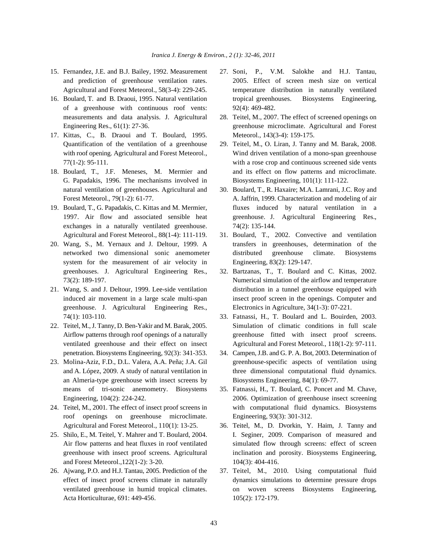- 
- of a greenhouse with continuous roof vents: 92(4): 469-482. measurements and data analysis. J. Agricultural 28. Teitel, M., 2007. The effect of screened openings on
- 17. Kittas, C., B. Draoui and T. Boulard, 1995. Meteorol., 143(3-4): 159-175. Quantification of the ventilation of a greenhouse 29. Teitel, M., O. Liran, J. Tanny and M. Barak, 2008.
- G. Papadakis, 1996. The mechanisms involved in Biosystems Engineering, 101(1): 111-122.
- exchanges in a naturally ventilated greenhouse. 74(2): 135-144. Agricultural and Forest Meteorol., 88(1-4): 111-119. 31. Boulard, T., 2002. Convective and ventilation
- system for the measurement of air velocity in Engineering, 83(2): 129-147. greenhouses. J. Agricultural Engineering Res., 32. Bartzanas, T., T. Boulard and C. Kittas, 2002.
- greenhouse. J. Agricultural Engineering Res., Electronics in Agriculture, 34(1-3): 07-221.
- penetration. Biosystems Engineering, 92(3): 341-353. 34. Campen, J.B. and G. P. A. Bot, 2003. Determination of
- 23. Molina-Aziz, F.D., D.L. Valera, A.A. Peña; J.A. Gil greenhouse-specific aspects of ventilation using an Almeria-type greenhouse with insect screens by Biosystems Engineering, 84(1): 69-77. means of tri-sonic anemometry. Biosystems 35. Fatnassi, H., T. Boulard, C. Poncet and M. Chave,
- roof openings on greenhouse microclimate. Engineering, 93(3): 301-312. Agricultural and Forest Meteorol., 110(1): 13-25. 36. Teitel, M., D. Dvorkin, Y. Haim, J. Tanny and
- and Forest Meteorol.,122(1-2): 3-20. 104(3): 404-416.
- 26. Ajwang, P.O. and H.J. Tantau, 2005. Prediction of the 37. Teitel, M., 2010. Using computational fluid Acta Horticulturae, 691: 449-456. 105(2): 172-179.
- 15. Fernandez, J.E. and B.J. Bailey, 1992. Measurement 27. Soni, P., V.M. Salokhe and H.J. Tantau, and prediction of greenhouse ventilation rates. 2005. Effect of screen mesh size on vertical Agricultural and Forest Meteorol., 58(3-4): 229-245. temperature distribution in naturally ventilated 16. Boulard, T. and B. Draoui, 1995. Natural ventilation tropical greenhouses. Biosystems Engineering,
	- Engineering Res., 61(1): 27-36. greenhouse microclimate. Agricultural and Forest
- with roof opening. Agricultural and Forest Meteorol., Wind driven ventilation of a mono-span greenhouse 77(1-2): 95-111. with a rose crop and continuous screened side vents 18. Boulard, T., J.F. Meneses, M. Mermier and and its effect on flow patterns and microclimate.
- natural ventilation of greenhouses. Agricultural and 30. Boulard, T., R. Haxaire; M.A. Lamrani, J.C. Roy and Forest Meteorol., 79(1-2): 61-77. A. Jaffrin, 1999. Characterization and modeling of air 19. Boulard, T., G. Papadakis, C. Kittas and M. Mermier, fluxes induced by natural ventilation in a 1997. Air flow and associated sensible heat greenhouse. J. Agricultural Engineering Res.,
- 20. Wang, S., M. Yernaux and J. Deltour, 1999. A transfers in greenhouses, determination of the networked two dimensional sonic anemometer distributed greenhouse climate. Biosystems
- 73(2): 189-197. Numerical simulation of the airflow and temperature 21. Wang, S. and J. Deltour, 1999. Lee-side ventilation distribution in a tunnel greenhouse equipped with induced air movement in a large scale multi-span insect proof screen in the openings. Computer and
- 74(1): 103-110. 33. Fatnassi, H., T. Boulard and L. Bouirden, 2003. 22. Teitel, M., J. Tanny, D. Ben-Yakir and M. Barak, 2005. Simulation of climatic conditions in full scale Airflow patterns through roof openings of a naturally greenhouse fitted with insect proof screens. ventilated greenhouse and their effect on insect Agricultural and Forest Meteorol., 118(1-2): 97-111.
	- and A. López, 2009. A study of natural ventilation in three dimensional computational fluid dynamics.
- Engineering, 104(2): 224-242. 2006. Optimization of greenhouse insect screening 24. Teitel, M., 2001. The effect of insect proof screens in with computational fluid dynamics. Biosystems
- 25. Shilo, E., M. Teitel, Y. Mahrer and T. Boulard, 2004. I. Seginer, 2009. Comparison of measured and Air flow patterns and heat fluxes in roof ventilated simulated flow through screens: effect of screen greenhouse with insect proof screens. Agricultural inclination and porosity. Biosystems Engineering,
	- effect of insect proof screens climate in naturally dynamics simulations to determine pressure drops ventilated greenhouse in humid tropical climates. on woven screens Biosystems Engineering,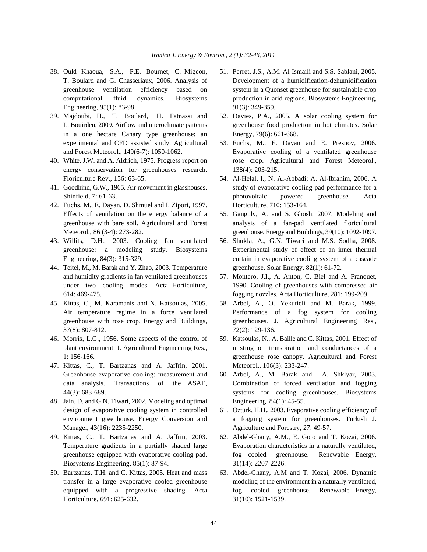- Engineering, 95(1): 83-98. 91(3): 349-359.
- 39. Majdoubi, H., T. Boulard, H. Fatnassi and 52. Davies, P.A., 2005. A solar cooling system for in a one hectare Canary type greenhouse: an Energy, 79(6): 661-668. experimental and CFD assisted study. Agricultural 53. Fuchs, M., E. Dayan and E. Presnov, 2006.
- energy conservation for greenhouses research. 138(4): 203-215. Floriculture Rev., 156: 63-65. 54. Al-Helal, I., N. Al-Abbadi; A. Al-Ibrahim, 2006. A
- 
- 42. Fuchs, M., E. Dayan, D. Shmuel and I. Zipori, 1997. Horticulture, 710: 153-164. Effects of ventilation on the energy balance of a 55. Ganguly, A. and S. Ghosh, 2007. Modeling and
- 43. Willits, D.H., 2003. Cooling fan ventilated 56. Shukla, A., G.N. Tiwari and M.S. Sodha, 2008.
- 44. Teitel, M., M. Barak and Y. Zhao, 2003. Temperature greenhouse. Solar Energy, 82(1): 61-72. and humidity gradients in fan ventilated greenhouses 57. Montero, J.I., A. Anton, C. Biel and A. Franquet,
- 45. Kittas, C., M. Karamanis and N. Katsoulas, 2005. 58. Arbel, A., O. Yekutieli and M. Barak, 1999. 37(8): 807-812. 72(2): 129-136.
- 
- 47. Kittas, C., T. Bartzanas and A. Jaffrin, 2001. Meteorol., 106(3): 233-247. Greenhouse evaporative cooling: measurement and 60. Arbel, A., M. Barak and A. Shklyar, 2003.
- 48. Jain, D. and G.N. Tiwari, 2002. Modeling and optimal Engineering, 84(1): 45-55. design of evaporative cooling system in controlled 61. Öztürk, H.H., 2003. Evaporative cooling efficiency of Manage., 43(16): 2235-2250. Agriculture and Forestry, 27: 49-57.
- Biosystems Engineering, 85(1): 87-94. 31(14): 2207-2226.
- Horticulture, 691: 625-632. 31(10): 1521-1539.
- 38. Ould Khaoua, S.A., P.E. Bournet, C. Migeon, 51. Perret, J.S., A.M. Al-Ismaili and S.S. Sablani, 2005. T. Boulard and G. Chasseriaux, 2006. Analysis of Development of a humidification-dehumidification greenhouse ventilation efficiency based on system in a Quonset greenhouse for sustainable crop computational fluid dynamics. Biosystems production in arid regions. Biosystems Engineering,
	- L. Bouirden, 2009. Airflow and microclimate patterns greenhouse food production in hot climates. Solar
- and Forest Meteorol., 149(6-7): 1050-1062. Evaporative cooling of a ventilated greenhouse 40. White, J.W. and A. Aldrich, 1975. Progress report on rose crop. Agricultural and Forest Meteorol.,
- 41. Goodhind, G.W., 1965. Air movement in glasshouses. study of evaporative cooling pad performance for a Shinfield, 7: 61-63. photovoltaic powered greenhouse. Acta
	- greenhouse with bare soil. Agricultural and Forest analysis of a fan-pad ventilated floricultural Meteorol., 86 (3-4): 273-282. greenhouse. Energy and Buildings, 39(10): 1092-1097.
	- greenhouse: a modeling study. Biosystems Experimental study of effect of an inner thermal Engineering, 84(3): 315-329. curtain in evaporative cooling system of a cascade
	- under two cooling modes. Acta Horticulture, 1990. Cooling of greenhouses with compressed air 614: 469-475. fogging nozzles. Acta Horticulture, 281: 199-209.
	- Air temperature regime in a force ventilated Performance of a fog system for cooling greenhouse with rose crop. Energy and Buildings, greenhouses. J. Agricultural Engineering Res.,
- 46. Morris, L.G., 1956. Some aspects of the control of 59. Katsoulas, N., A. Baille and C. Kittas, 2001. Effect of plant environment. J. Agricultural Engineering Res., misting on transpiration and conductances of a 1: 156-166. greenhouse rose canopy. Agricultural and Forest
	- data analysis. Transactions of the ASAE, Combination of forced ventilation and fogging 44(3): 683-689. systems for cooling greenhouses. Biosystems
	- environment greenhouse. Energy Conversion and a fogging system for greenhouses. Turkish J.
- 49. Kittas, C., T. Bartzanas and A. Jaffrin, 2003. 62. Abdel-Ghany, A.M., E. Goto and T. Kozai, 2006. Temperature gradients in a partially shaded large Evaporation characteristics in a naturally ventilated, greenhouse equipped with evaporative cooling pad. fog cooled greenhouse. Renewable Energy,
- 50. Bartzanas, T.H. and C. Kittas, 2005. Heat and mass 63. Abdel-Ghany, A.M and T. Kozai, 2006. Dynamic transfer in a large evaporative cooled greenhouse modeling of the environment in a naturally ventilated, equipped with a progressive shading. Acta fog cooled greenhouse. Renewable Energy,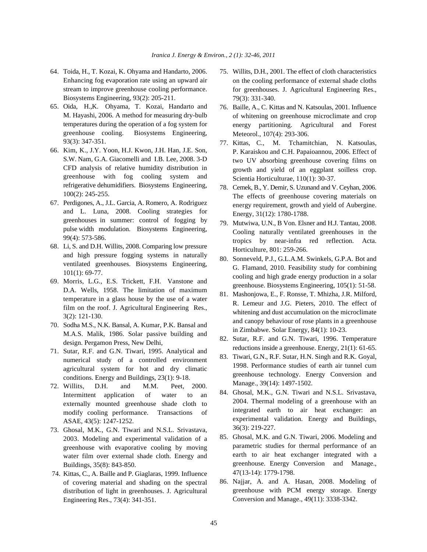- Enhancing fog evaporation rate using an upward air stream to improve greenhouse cooling performance. Biosystems Engineering, 93(2): 205-211.
- 65. Oida, H.,K. Ohyama, T. Kozai, Handarto and M. Hayashi, 2006. A method for measuring dry-bulb temperatures during the operation of a fog system for greenhouse cooling. Biosystems Engineering, 93(3): 347-351.
- 66. Kim, K., J.Y. Yoon, H.J. Kwon, J.H. Han, J.E. Son, S.W. Nam, G.A. Giacomelli and I.B. Lee, 2008. 3-D CFD analysis of relative humidity distribution in greenhouse with fog cooling system and refrigerative dehumidifiers. Biosystems Engineering, 100(2): 245-255.
- 67. Perdigones, A., J.L. Garcia, A. Romero, A. Rodriguez and L. Luna, 2008. Cooling strategies for greenhouses in summer: control of fogging by pulse width modulation. Biosystems Engineering, 99(4): 573-586.
- 68. Li, S. and D.H. Willits, 2008. Comparing low pressure and high pressure fogging systems in naturally ventilated greenhouses. Biosystems Engineering, 101(1): 69-77.
- 69. Morris, L.G., E.S. Trickett, F.H. Vanstone and D.A. Wells, 1958. The limitation of maximum temperature in a glass house by the use of a water film on the roof. J. Agricultural Engineering Res., 3(2): 121-130.
- 70. Sodha M.S., N.K. Bansal, A. Kumar, P.K. Bansal and M.A.S. Malik, 1986. Solar passive building and design. Pergamon Press, New Delhi,
- 71. Sutar, R.F. and G.N. Tiwari, 1995. Analytical and numerical study of a controlled environment agricultural system for hot and dry climatic conditions. Energy and Buildings, 23(1): 9-18.
- 72. Willits, D.H. and M.M. Peet, 2000. Intermittent application of water to an externally mounted greenhouse shade cloth to modify cooling performance. Transactions of ASAE, 43(5): 1247-1252.
- 73. Ghosal, M.K., G.N. Tiwari and N.S.L. Srivastava, 2003. Modeling and experimental validation of a greenhouse with evaporative cooling by moving water film over external shade cloth. Energy and Buildings, 35(8): 843-850.
- 74. Kittas, C., A. Baille and P. Giaglaras, 1999. Influence of covering material and shading on the spectral distribution of light in greenhouses. J. Agricultural Engineering Res., 73(4): 341-351.
- 64. Toida, H., T. Kozai, K. Ohyama and Handarto, 2006. 75. Willits, D.H., 2001. The effect of cloth characteristics on the cooling performance of external shade cloths for greenhouses. J. Agricultural Engineering Res., 79(3): 331-340.
	- 76. Baille, A., C. Kittas and N. Katsoulas, 2001. Influence of whitening on greenhouse microclimate and crop energy partitioning. Agricultural and Forest Meteorol., 107(4): 293-306.
	- 77. Kittas, C., M. Tchamitchian, N. Katsoulas, P. Karaiskou and C.H. Papaioannou, 2006. Effect of two UV absorbing greenhouse covering films on growth and yield of an eggplant soilless crop. Scientia Horticulturae, 110(1): 30-37.
	- 78. Cemek, B., Y. Demir, S. Uzunand and V. Ceyhan, 2006. The effects of greenhouse covering materials on energy requirement, growth and yield of Aubergine. Energy, 31(12): 1780-1788.
	- 79. Mutwiwa, U.N., B Von. Elsner and H.J. Tantau, 2008. Cooling naturally ventilated greenhouses in the tropics by near-infra red reflection. Acta. Horticulture, 801: 259-266.
	- 80. Sonneveld, P.J., G.L.A.M. Swinkels, G.P.A. Bot and G. Flamand, 2010. Feasibility study for combining cooling and high grade energy production in a solar greenhouse. Biosystems Engineering, 105(1): 51-58.
	- 81. Mashonjowa, E., F. Ronsse, T. Mhizha, J.R. Milford, R. Lemeur and J.G. Pieters, 2010. The effect of whitening and dust accumulation on the microclimate and canopy behaviour of rose plants in a greenhouse in Zimbabwe. Solar Energy, 84(1): 10-23.
	- 82. Sutar, R.F. and G.N. Tiwari, 1996. Temperature reductions inside a greenhouse. Energy, 21(1): 61-65.
	- 83. Tiwari, G.N., R.F. Sutar, H.N. Singh and R.K. Goyal, 1998. Performance studies of earth air tunnel cum greenhouse technology. Energy Conversion and Manage., 39(14): 1497-1502.
	- 84. Ghosal, M.K., G.N. Tiwari and N.S.L. Srivastava, 2004. Thermal modeling of a greenhouse with an integrated earth to air heat exchanger: an experimental validation. Energy and Buildings, 36(3): 219-227.
	- 85. Ghosal, M.K. and G.N. Tiwari, 2006. Modeling and parametric studies for thermal performance of an earth to air heat exchanger integrated with a greenhouse. Energy Conversion and Manage., 47(13-14): 1779-1798.
	- 86. Najjar, A. and A. Hasan, 2008. Modeling of greenhouse with PCM energy storage. Energy Conversion and Manage., 49(11): 3338-3342.